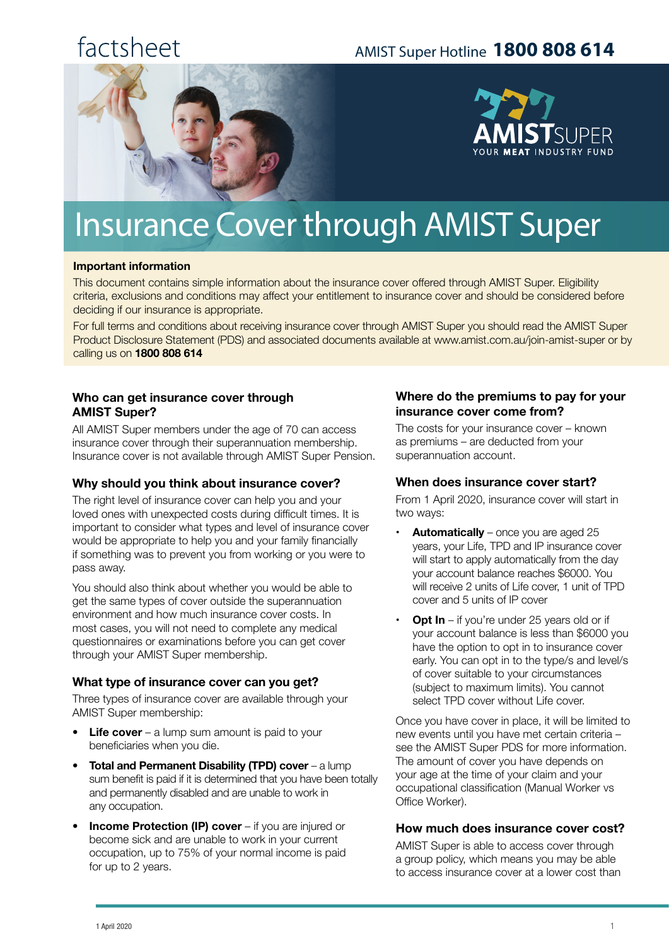## factsheet

### AMIST Super Hotline **1800 808 614**





# Insurance Cover through AMIST Super

#### **Important information**

This document contains simple information about the insurance cover offered through AMIST Super. Eligibility criteria, exclusions and conditions may affect your entitlement to insurance cover and should be considered before deciding if our insurance is appropriate.

For full terms and conditions about receiving insurance cover through AMIST Super you should read the AMIST Super Product Disclosure Statement (PDS) and associated documents available at www.amist.com.au/join-amist-super or by calling us on **1800 808 614**

#### **Who can get insurance cover through AMIST Super?**

All AMIST Super members under the age of 70 can access insurance cover through their superannuation membership. Insurance cover is not available through AMIST Super Pension.

#### **Why should you think about insurance cover?**

The right level of insurance cover can help you and your loved ones with unexpected costs during difficult times. It is important to consider what types and level of insurance cover would be appropriate to help you and your family financially if something was to prevent you from working or you were to pass away.

You should also think about whether you would be able to get the same types of cover outside the superannuation environment and how much insurance cover costs. In most cases, you will not need to complete any medical questionnaires or examinations before you can get cover through your AMIST Super membership.

#### **What type of insurance cover can you get?**

Three types of insurance cover are available through your AMIST Super membership:

- **Life cover**  a lump sum amount is paid to your beneficiaries when you die.
- **Total and Permanent Disability (TPD) cover** a lump sum benefit is paid if it is determined that you have been totally and permanently disabled and are unable to work in any occupation.
- **Income Protection (IP) cover** if you are injured or become sick and are unable to work in your current occupation, up to 75% of your normal income is paid for up to 2 years.

#### **Where do the premiums to pay for your insurance cover come from?**

The costs for your insurance cover – known as premiums – are deducted from your superannuation account.

#### **When does insurance cover start?**

From 1 April 2020, insurance cover will start in two ways:

- **Automatically** once you are aged 25 years, your Life, TPD and IP insurance cover will start to apply automatically from the day your account balance reaches \$6000. You will receive 2 units of Life cover, 1 unit of TPD cover and 5 units of IP cover
- **Opt In** if you're under 25 years old or if your account balance is less than \$6000 you have the option to opt in to insurance cover early. You can opt in to the type/s and level/s of cover suitable to your circumstances (subject to maximum limits). You cannot select TPD cover without Life cover.

Once you have cover in place, it will be limited to new events until you have met certain criteria – see the AMIST Super PDS for more information. The amount of cover you have depends on your age at the time of your claim and your occupational classification (Manual Worker vs Office Worker).

#### **How much does insurance cover cost?**

AMIST Super is able to access cover through a group policy, which means you may be able to access insurance cover at a lower cost than